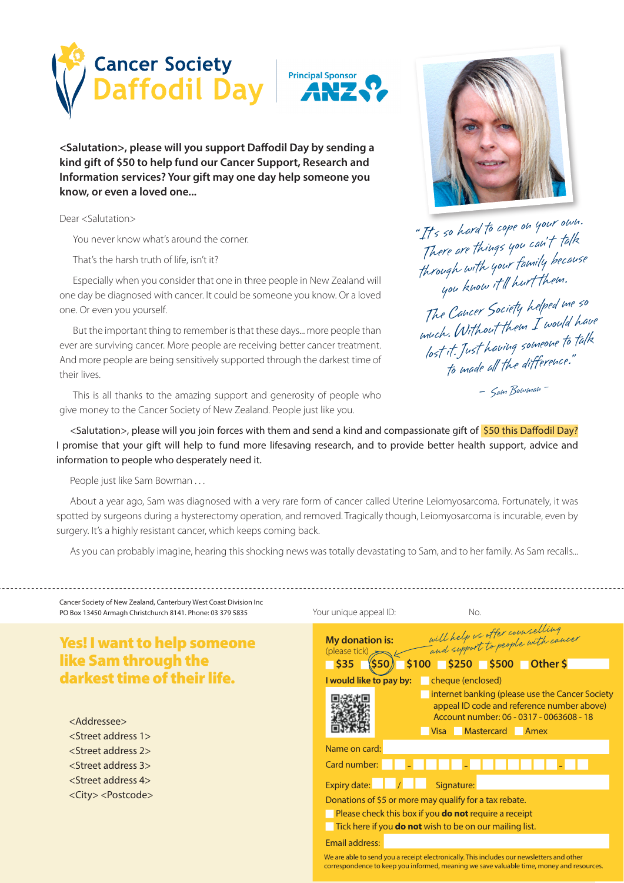



**<Salutation>, please will you support Dafodil Day by sending a kind gift of \$50 to help fund our Cancer Support, Research and Information services? Your gift may one day help someone you know, or even a loved one...**

Dear <Salutation>

You never know what's around the corner.

That's the harsh truth of life, isn't it?

Especially when you consider that one in three people in New Zealand will one day be diagnosed with cancer. It could be someone you know. Or a loved one. Or even you yourself.

But the important thing to remember is that these days... more people than ever are surviving cancer. More people are receiving better cancer treatment. And more people are being sensitively supported through the darkest time of their lives.

This is all thanks to the amazing support and generosity of people who give money to the Cancer Society of New Zealand. People just like you.



"It's so hard to cope on your own. II's so ruined in the talk<br>There are things you can't talk through with your family because you know it'll hurt them.

The Cancer Society helped me so much. Without them I would have lost it. Just having someone to talk<br>to made all the difference."

- Sam Bowman -

<Salutation>, please will you join forces with them and send a kind and compassionate gift of \$50 this Daffodil Day? I promise that your gift will help to fund more lifesaving research, and to provide better health support, advice and information to people who desperately need it.

People just like Sam Bowman . . .

About a year ago, Sam was diagnosed with a very rare form of cancer called Uterine Leiomyosarcoma. Fortunately, it was spotted by surgeons during a hysterectomy operation, and removed. Tragically though, Leiomyosarcoma is incurable, even by surgery. It's a highly resistant cancer, which keeps coming back.

As you can probably imagine, hearing this shocking news was totally devastating to Sam, and to her family. As Sam recalls...

| Cancer Society of New Zealand, Canterbury West Coast Division Inc<br>PO Box 13450 Armagh Christchurch 8141. Phone: 03 379 5835                                                                                                                                                                                              | Your unique appeal ID:<br>No.                                                                                                                                                                                                                                                                                                                    |
|-----------------------------------------------------------------------------------------------------------------------------------------------------------------------------------------------------------------------------------------------------------------------------------------------------------------------------|--------------------------------------------------------------------------------------------------------------------------------------------------------------------------------------------------------------------------------------------------------------------------------------------------------------------------------------------------|
| <b>Yes! I want to help someone</b><br><b>like Sam through the</b><br>darkest time of their life.<br><addressee><br/><street 1="" address=""><br/><street 2="" address=""><br/><street 3="" address=""><br/><street 4="" address=""><br/><city> <postcode></postcode></city></street></street></street></street></addressee> | will help us offer counselling<br>and support to people with cancer<br><b>My donation is:</b><br>(please tick)<br>$$100$ $$250$ $$500$ Other \$<br>$\overline{\phantom{0}}$ \$35<br><b>S50)</b><br>I would like to pay by:<br>cheque (enclosed)<br>internet banking (please use the Cancer Society<br>appeal ID code and reference number above) |
|                                                                                                                                                                                                                                                                                                                             | Account number: 06 - 0317 - 0063608 - 18<br>Visa Mastercard Amex<br>Name on card:<br>Card number:                                                                                                                                                                                                                                                |
|                                                                                                                                                                                                                                                                                                                             | Expiry date: $\vert$ / $\vert$<br>Signature:<br>Donations of \$5 or more may qualify for a tax rebate.<br>Please check this box if you <b>do not</b> require a receipt<br>Tick here if you <b>do not</b> wish to be on our mailing list.<br><b>Email address:</b>                                                                                |
|                                                                                                                                                                                                                                                                                                                             | We are able to send you a receipt electronically. This includes our newsletters and other<br>correspondence to keep you informed, meaning we save valuable time, money and resources.                                                                                                                                                            |